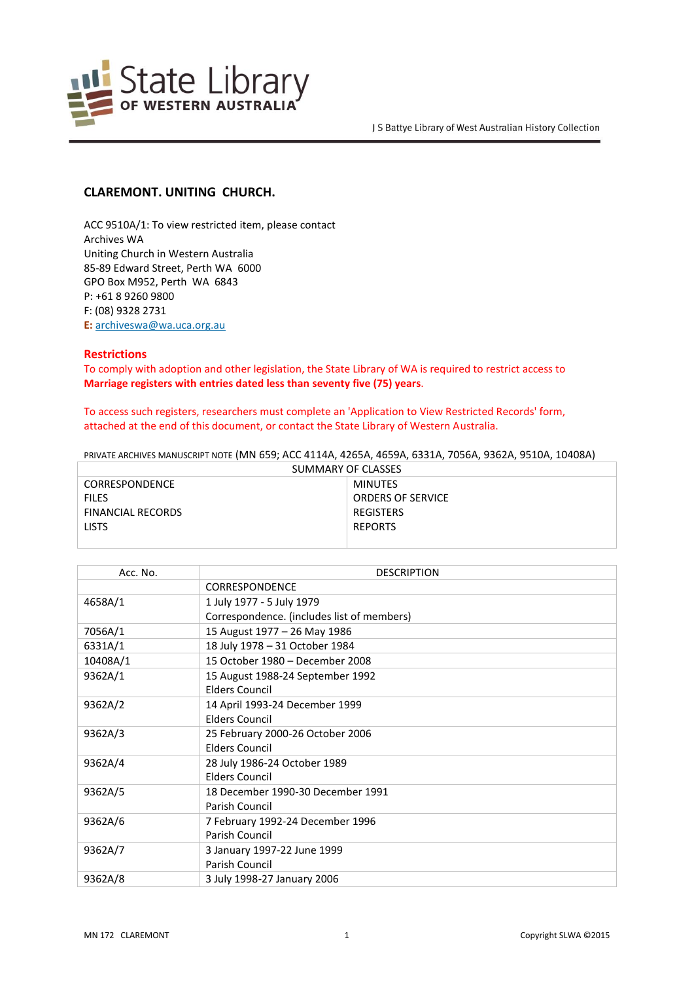

## **CLAREMONT. UNITING CHURCH.**

ACC 9510A/1: To view restricted item, please contact Archives WA Uniting Church in Western Australia 85-89 Edward Street, Perth WA 6000 GPO Box M952, Perth WA 6843 P: +61 8 9260 9800 F: (08) 9328 2731 **E:** <archiveswa@wa.uca.org.au>

## **Restrictions**

To comply with adoption and other legislation, the State Library of WA is required to restrict access to **Marriage registers with entries dated less than seventy five (75) years**.

## To access such registers, researchers must complete an 'Application to View Restricted Records' form, attached at the end of this document, or contact the State Library of Western Australia.

PRIVATE ARCHIVES MANUSCRIPT NOTE (MN 659; ACC 4114A, 4265A, 4659A, 6331A, 7056A, 9362A, 9510A, 10408A)

| SUMMARY OF CLASSES       |                          |  |
|--------------------------|--------------------------|--|
| <b>CORRESPONDENCE</b>    | MINUTES                  |  |
| <b>FILES</b>             | <b>ORDERS OF SERVICE</b> |  |
| <b>FINANCIAL RECORDS</b> | REGISTERS                |  |
| <b>LISTS</b>             | <b>REPORTS</b>           |  |
|                          |                          |  |

| Acc. No. | <b>DESCRIPTION</b>                         |
|----------|--------------------------------------------|
|          | <b>CORRESPONDENCE</b>                      |
| 4658A/1  | 1 July 1977 - 5 July 1979                  |
|          | Correspondence. (includes list of members) |
| 7056A/1  | 15 August 1977 - 26 May 1986               |
| 6331A/1  | 18 July 1978 - 31 October 1984             |
| 10408A/1 | 15 October 1980 - December 2008            |
| 9362A/1  | 15 August 1988-24 September 1992           |
|          | <b>Elders Council</b>                      |
| 9362A/2  | 14 April 1993-24 December 1999             |
|          | Elders Council                             |
| 9362A/3  | 25 February 2000-26 October 2006           |
|          | <b>Elders Council</b>                      |
| 9362A/4  | 28 July 1986-24 October 1989               |
|          | <b>Elders Council</b>                      |
| 9362A/5  | 18 December 1990-30 December 1991          |
|          | Parish Council                             |
| 9362A/6  | 7 February 1992-24 December 1996           |
|          | Parish Council                             |
| 9362A/7  | 3 January 1997-22 June 1999                |
|          | Parish Council                             |
| 9362A/8  | 3 July 1998-27 January 2006                |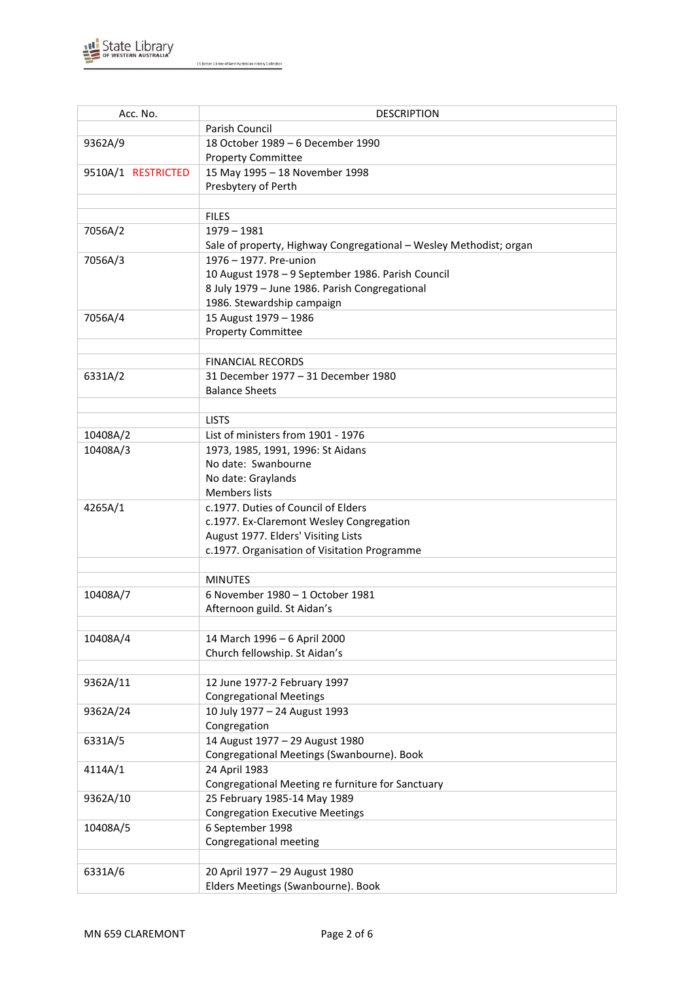

| Acc. No.           | <b>DESCRIPTION</b>                                                 |
|--------------------|--------------------------------------------------------------------|
|                    | Parish Council                                                     |
| 9362A/9            | 18 October 1989 - 6 December 1990                                  |
|                    | <b>Property Committee</b>                                          |
| 9510A/1 RESTRICTED | 15 May 1995 - 18 November 1998                                     |
|                    | Presbytery of Perth                                                |
|                    |                                                                    |
|                    | <b>FILES</b>                                                       |
| 7056A/2            | $1979 - 1981$                                                      |
|                    | Sale of property, Highway Congregational - Wesley Methodist; organ |
| 7056A/3            | 1976 - 1977. Pre-union                                             |
|                    | 10 August 1978 - 9 September 1986. Parish Council                  |
|                    | 8 July 1979 - June 1986. Parish Congregational                     |
|                    | 1986. Stewardship campaign                                         |
| 7056A/4            | 15 August 1979 - 1986                                              |
|                    | <b>Property Committee</b>                                          |
|                    |                                                                    |
|                    | <b>FINANCIAL RECORDS</b>                                           |
| 6331A/2            | 31 December 1977 - 31 December 1980                                |
|                    | <b>Balance Sheets</b>                                              |
|                    |                                                                    |
|                    | <b>LISTS</b>                                                       |
| 10408A/2           | List of ministers from 1901 - 1976                                 |
| 10408A/3           | 1973, 1985, 1991, 1996: St Aidans                                  |
|                    | No date: Swanbourne                                                |
|                    | No date: Graylands<br><b>Members lists</b>                         |
| 4265A/1            | c.1977. Duties of Council of Elders                                |
|                    | c.1977. Ex-Claremont Wesley Congregation                           |
|                    | August 1977. Elders' Visiting Lists                                |
|                    | c.1977. Organisation of Visitation Programme                       |
|                    |                                                                    |
|                    | <b>MINUTES</b>                                                     |
| 10408A/7           | 6 November 1980 - 1 October 1981                                   |
|                    | Afternoon guild. St Aidan's                                        |
|                    |                                                                    |
| 10408A/4           | 14 March 1996 - 6 April 2000                                       |
|                    | Church fellowship. St Aidan's                                      |
|                    |                                                                    |
| 9362A/11           | 12 June 1977-2 February 1997                                       |
|                    | <b>Congregational Meetings</b>                                     |
| 9362A/24           | 10 July 1977 - 24 August 1993                                      |
|                    | Congregation                                                       |
| 6331A/5            | 14 August 1977 - 29 August 1980                                    |
|                    | Congregational Meetings (Swanbourne). Book                         |
| 4114A/1            | 24 April 1983                                                      |
|                    | Congregational Meeting re furniture for Sanctuary                  |
| 9362A/10           | 25 February 1985-14 May 1989                                       |
|                    | <b>Congregation Executive Meetings</b>                             |
| 10408A/5           | 6 September 1998<br>Congregational meeting                         |
|                    |                                                                    |
| 6331A/6            | 20 April 1977 - 29 August 1980                                     |
|                    | Elders Meetings (Swanbourne). Book                                 |
|                    |                                                                    |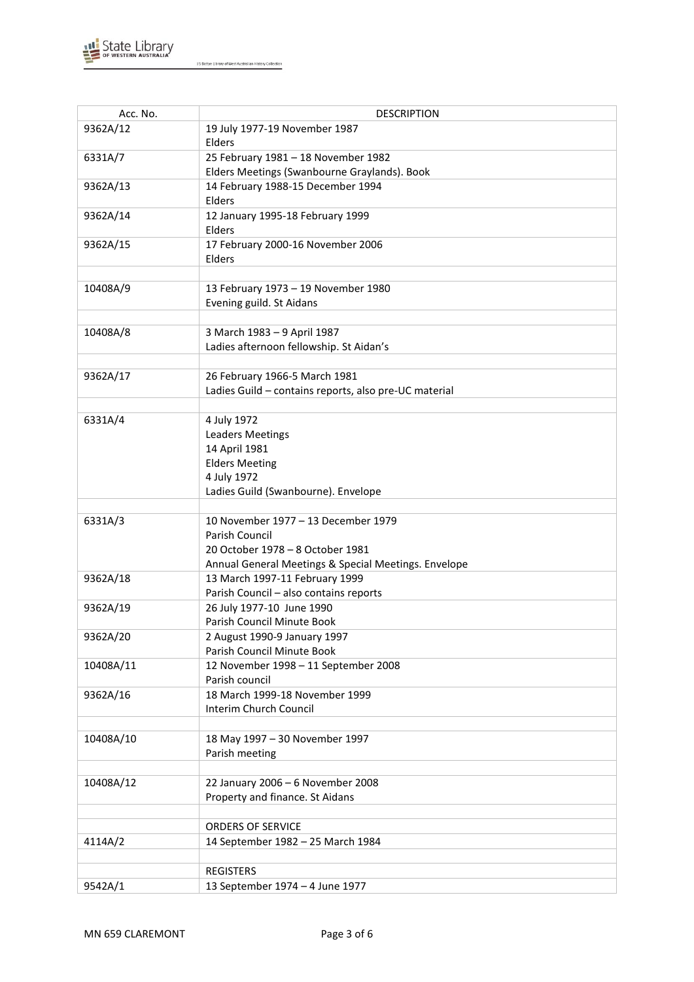

| Acc. No.  | <b>DESCRIPTION</b>                                    |
|-----------|-------------------------------------------------------|
| 9362A/12  | 19 July 1977-19 November 1987                         |
|           | Elders                                                |
| 6331A/7   | 25 February 1981 - 18 November 1982                   |
|           | Elders Meetings (Swanbourne Graylands). Book          |
| 9362A/13  | 14 February 1988-15 December 1994                     |
|           | Elders                                                |
|           |                                                       |
| 9362A/14  | 12 January 1995-18 February 1999                      |
|           | Elders                                                |
| 9362A/15  | 17 February 2000-16 November 2006                     |
|           | Elders                                                |
|           |                                                       |
| 10408A/9  | 13 February 1973 - 19 November 1980                   |
|           | Evening guild. St Aidans                              |
|           |                                                       |
| 10408A/8  | 3 March 1983 - 9 April 1987                           |
|           | Ladies afternoon fellowship. St Aidan's               |
|           |                                                       |
| 9362A/17  | 26 February 1966-5 March 1981                         |
|           | Ladies Guild - contains reports, also pre-UC material |
|           |                                                       |
| 6331A/4   | 4 July 1972                                           |
|           | <b>Leaders Meetings</b>                               |
|           | 14 April 1981                                         |
|           | <b>Elders Meeting</b>                                 |
|           | 4 July 1972                                           |
|           | Ladies Guild (Swanbourne). Envelope                   |
|           |                                                       |
| 6331A/3   | 10 November 1977 - 13 December 1979                   |
|           | Parish Council                                        |
|           | 20 October 1978 - 8 October 1981                      |
|           | Annual General Meetings & Special Meetings. Envelope  |
| 9362A/18  | 13 March 1997-11 February 1999                        |
|           | Parish Council - also contains reports                |
| 9362A/19  | 26 July 1977-10 June 1990                             |
|           | Parish Council Minute Book                            |
| 9362A/20  | 2 August 1990-9 January 1997                          |
|           | Parish Council Minute Book                            |
| 10408A/11 | 12 November 1998 - 11 September 2008                  |
|           | Parish council                                        |
| 9362A/16  | 18 March 1999-18 November 1999                        |
|           | Interim Church Council                                |
|           |                                                       |
| 10408A/10 | 18 May 1997 - 30 November 1997                        |
|           |                                                       |
|           | Parish meeting                                        |
|           |                                                       |
| 10408A/12 | 22 January 2006 - 6 November 2008                     |
|           | Property and finance. St Aidans                       |
|           |                                                       |
|           | <b>ORDERS OF SERVICE</b>                              |
| 4114A/2   | 14 September 1982 - 25 March 1984                     |
|           |                                                       |
|           | <b>REGISTERS</b>                                      |
| 9542A/1   | 13 September 1974 - 4 June 1977                       |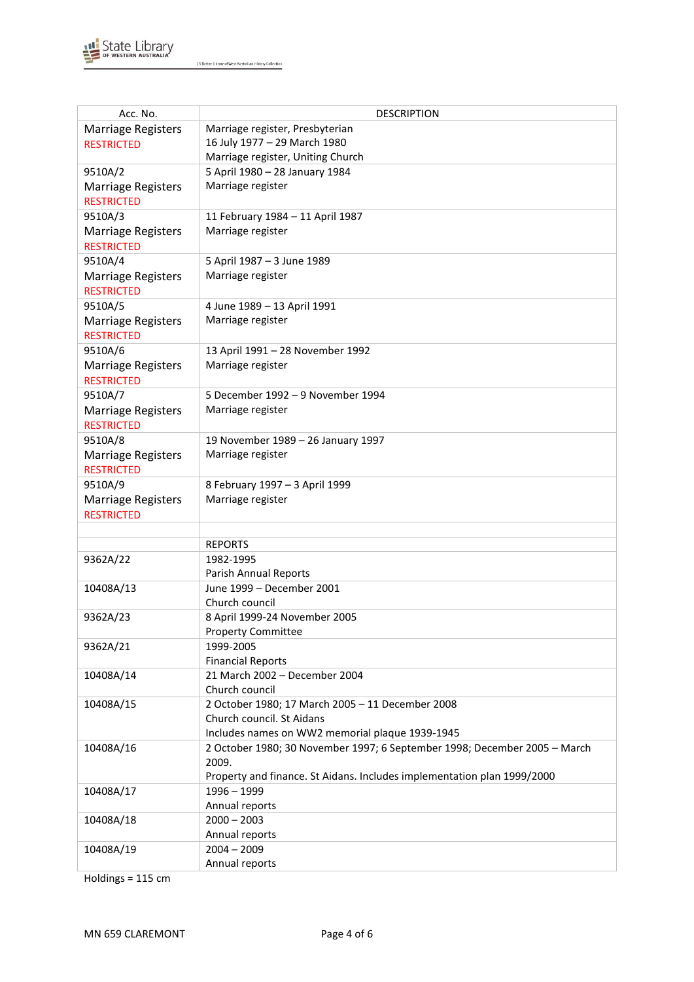

| Acc. No.                                       | <b>DESCRIPTION</b>                                                        |
|------------------------------------------------|---------------------------------------------------------------------------|
| <b>Marriage Registers</b>                      | Marriage register, Presbyterian                                           |
| <b>RESTRICTED</b>                              | 16 July 1977 - 29 March 1980                                              |
|                                                | Marriage register, Uniting Church                                         |
| 9510A/2                                        | 5 April 1980 - 28 January 1984                                            |
| <b>Marriage Registers</b>                      | Marriage register                                                         |
| <b>RESTRICTED</b>                              |                                                                           |
| 9510A/3                                        | 11 February 1984 - 11 April 1987                                          |
| <b>Marriage Registers</b>                      | Marriage register                                                         |
| <b>RESTRICTED</b>                              |                                                                           |
| 9510A/4                                        | 5 April 1987 - 3 June 1989                                                |
| <b>Marriage Registers</b>                      | Marriage register                                                         |
| <b>RESTRICTED</b>                              |                                                                           |
| 9510A/5                                        | 4 June 1989 - 13 April 1991                                               |
| <b>Marriage Registers</b>                      | Marriage register                                                         |
| <b>RESTRICTED</b>                              |                                                                           |
| 9510A/6                                        | 13 April 1991 - 28 November 1992                                          |
| <b>Marriage Registers</b>                      | Marriage register                                                         |
| <b>RESTRICTED</b>                              |                                                                           |
| 9510A/7                                        | 5 December 1992 - 9 November 1994                                         |
| <b>Marriage Registers</b>                      | Marriage register                                                         |
| <b>RESTRICTED</b>                              |                                                                           |
| 9510A/8                                        | 19 November 1989 - 26 January 1997                                        |
| <b>Marriage Registers</b>                      | Marriage register                                                         |
| <b>RESTRICTED</b>                              |                                                                           |
| 9510A/9                                        | 8 February 1997 - 3 April 1999                                            |
|                                                | Marriage register                                                         |
| <b>Marriage Registers</b><br><b>RESTRICTED</b> |                                                                           |
|                                                |                                                                           |
|                                                | <b>REPORTS</b>                                                            |
| 9362A/22                                       | 1982-1995                                                                 |
|                                                | Parish Annual Reports                                                     |
| 10408A/13                                      | June 1999 - December 2001                                                 |
|                                                | Church council                                                            |
| 9362A/23                                       | 8 April 1999-24 November 2005                                             |
|                                                | <b>Property Committee</b>                                                 |
| 9362A/21                                       | 1999-2005                                                                 |
|                                                | <b>Financial Reports</b>                                                  |
| 10408A/14                                      | 21 March 2002 - December 2004                                             |
|                                                | Church council                                                            |
| 10408A/15                                      | 2 October 1980; 17 March 2005 - 11 December 2008                          |
|                                                | Church council. St Aidans                                                 |
|                                                | Includes names on WW2 memorial plaque 1939-1945                           |
| 10408A/16                                      | 2 October 1980; 30 November 1997; 6 September 1998; December 2005 - March |
|                                                | 2009.                                                                     |
|                                                | Property and finance. St Aidans. Includes implementation plan 1999/2000   |
| 10408A/17                                      | $1996 - 1999$                                                             |
|                                                | Annual reports                                                            |
| 10408A/18                                      | $2000 - 2003$                                                             |
|                                                | Annual reports                                                            |
| 10408A/19                                      | $2004 - 2009$                                                             |
|                                                | Annual reports                                                            |

Holdings = 115 cm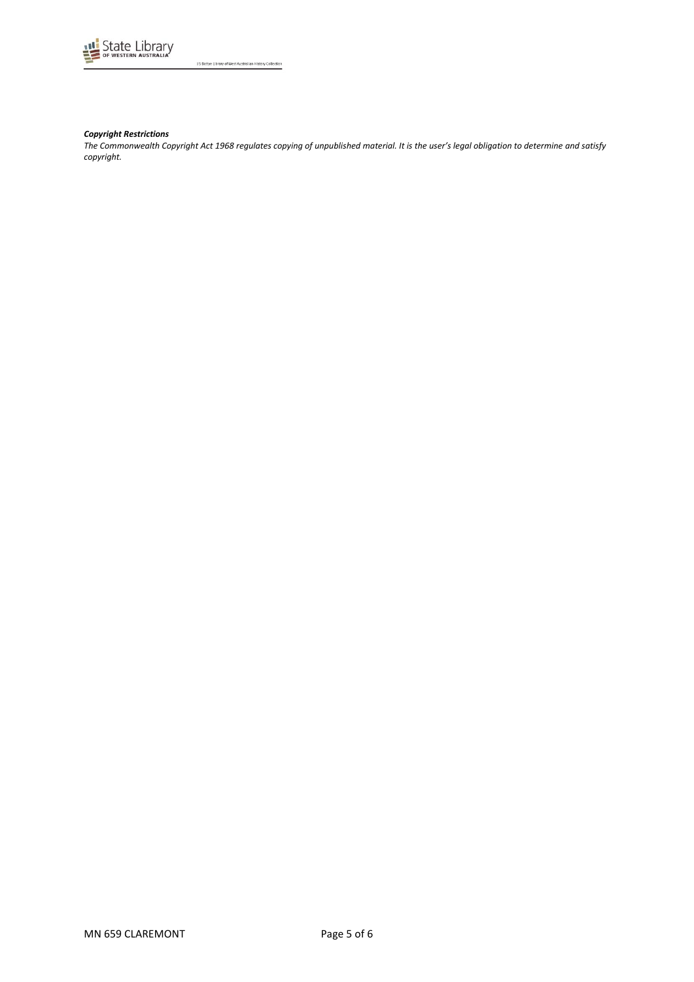

#### *Copyright Restrictions*

*The Commonwealth Copyright Act 1968 regulates copying of unpublished material. It is the user's legal obligation to determine and satisfy copyright.*